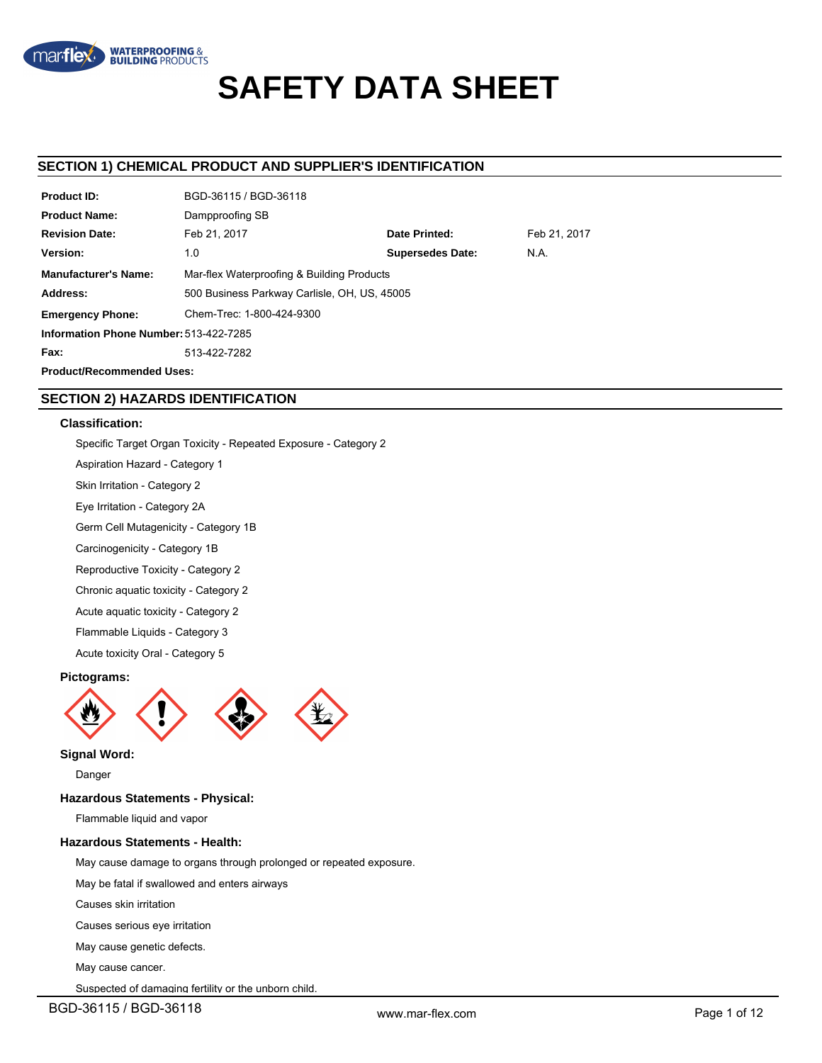

# **SAFETY DATA SHEET**

# **SECTION 1) CHEMICAL PRODUCT AND SUPPLIER'S IDENTIFICATION**

| <b>Product ID:</b>                     | BGD-36115 / BGD-36118                        |                         |              |
|----------------------------------------|----------------------------------------------|-------------------------|--------------|
| <b>Product Name:</b>                   | Dampproofing SB                              |                         |              |
| <b>Revision Date:</b>                  | Feb 21, 2017                                 | Date Printed:           | Feb 21, 2017 |
| Version:                               | 1.0                                          | <b>Supersedes Date:</b> | N.A.         |
| <b>Manufacturer's Name:</b>            | Mar-flex Waterproofing & Building Products   |                         |              |
| Address:                               | 500 Business Parkway Carlisle, OH, US, 45005 |                         |              |
| <b>Emergency Phone:</b>                | Chem-Trec: 1-800-424-9300                    |                         |              |
| Information Phone Number: 513-422-7285 |                                              |                         |              |
| Fax:                                   | 513-422-7282                                 |                         |              |
| <b>Product/Recommended Uses:</b>       |                                              |                         |              |

# **SECTION 2) HAZARDS IDENTIFICATION**

# **Classification:**

Specific Target Organ Toxicity - Repeated Exposure - Category 2

Aspiration Hazard - Category 1

- Skin Irritation Category 2
- Eye Irritation Category 2A

Germ Cell Mutagenicity - Category 1B

Carcinogenicity - Category 1B

Reproductive Toxicity - Category 2

Chronic aquatic toxicity - Category 2

Acute aquatic toxicity - Category 2

Flammable Liquids - Category 3

Acute toxicity Oral - Category 5

# **Pictograms:**



## **Signal Word:**

Danger

# **Hazardous Statements - Physical:**

Flammable liquid and vapor

# **Hazardous Statements - Health:**

May cause damage to organs through prolonged or repeated exposure.

May be fatal if swallowed and enters airways

Causes skin irritation

Causes serious eye irritation

May cause genetic defects.

May cause cancer.

Suspected of damaging fertility or the unborn child.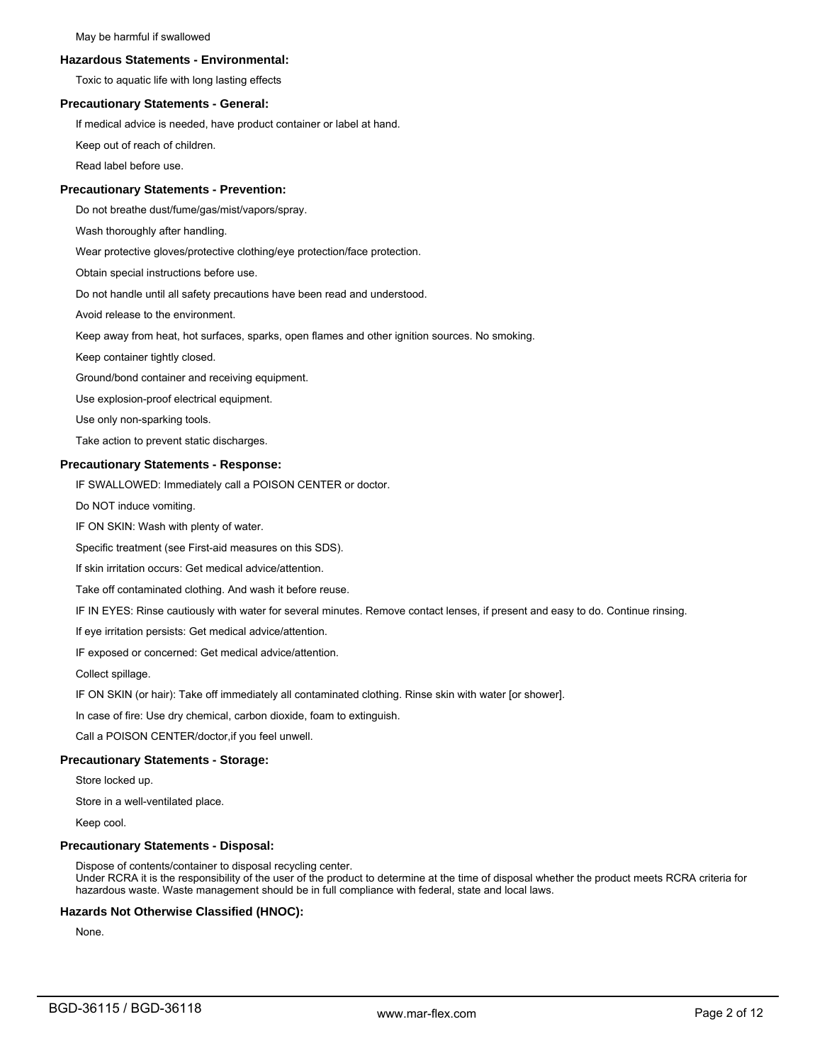#### **Hazardous Statements - Environmental:**

Toxic to aquatic life with long lasting effects

# **Precautionary Statements - General:**

If medical advice is needed, have product container or label at hand.

Keep out of reach of children.

Read label before use.

# **Precautionary Statements - Prevention:**

Do not breathe dust/fume/gas/mist/vapors/spray.

Wash thoroughly after handling.

Wear protective gloves/protective clothing/eye protection/face protection.

Obtain special instructions before use.

Do not handle until all safety precautions have been read and understood.

Avoid release to the environment.

Keep away from heat, hot surfaces, sparks, open flames and other ignition sources. No smoking.

Keep container tightly closed.

Ground/bond container and receiving equipment.

Use explosion-proof electrical equipment.

Use only non-sparking tools.

Take action to prevent static discharges.

# **Precautionary Statements - Response:**

IF SWALLOWED: Immediately call a POISON CENTER or doctor.

Do NOT induce vomiting.

IF ON SKIN: Wash with plenty of water.

Specific treatment (see First-aid measures on this SDS).

If skin irritation occurs: Get medical advice/attention.

Take off contaminated clothing. And wash it before reuse.

IF IN EYES: Rinse cautiously with water for several minutes. Remove contact lenses, if present and easy to do. Continue rinsing.

If eye irritation persists: Get medical advice/attention.

IF exposed or concerned: Get medical advice/attention.

Collect spillage.

IF ON SKIN (or hair): Take off immediately all contaminated clothing. Rinse skin with water [or shower].

In case of fire: Use dry chemical, carbon dioxide, foam to extinguish.

Call a POISON CENTER/doctor,if you feel unwell.

#### **Precautionary Statements - Storage:**

Store locked up.

Store in a well-ventilated place.

Keep cool.

#### **Precautionary Statements - Disposal:**

Dispose of contents/container to disposal recycling center. Under RCRA it is the responsibility of the user of the product to determine at the time of disposal whether the product meets RCRA criteria for hazardous waste. Waste management should be in full compliance with federal, state and local laws.

# **Hazards Not Otherwise Classified (HNOC):**

None.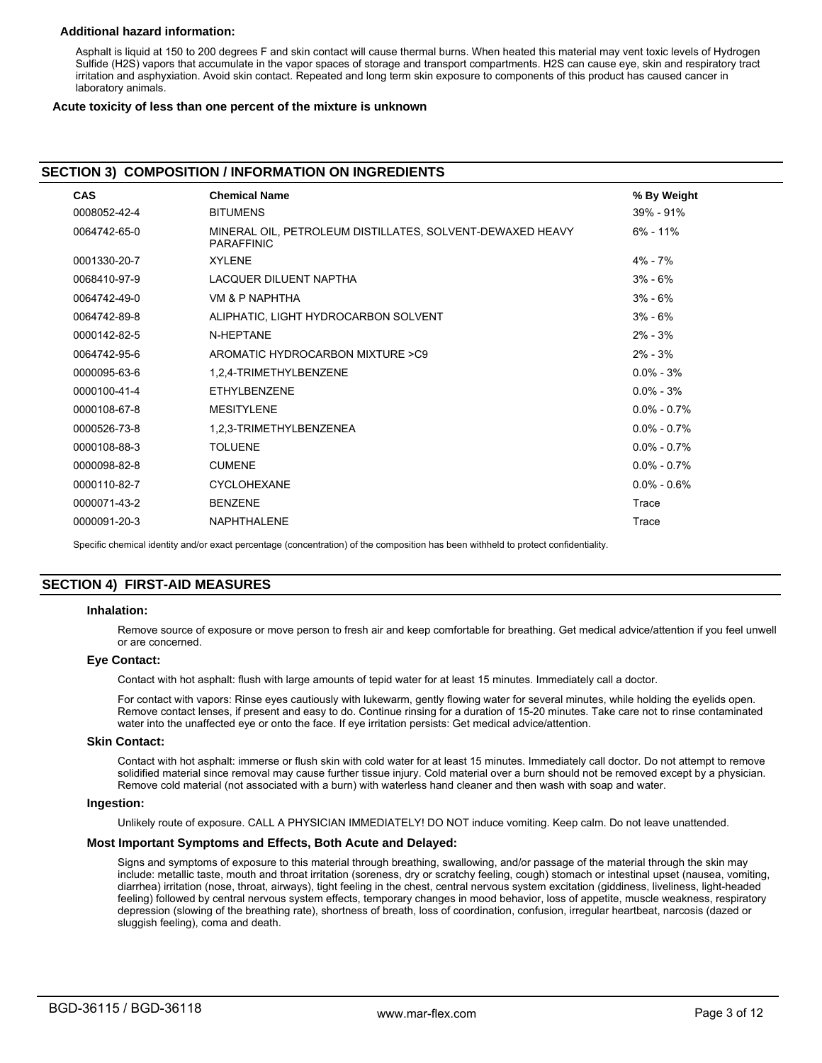# **Additional hazard information:**

Asphalt is liquid at 150 to 200 degrees F and skin contact will cause thermal burns. When heated this material may vent toxic levels of Hydrogen Sulfide (H2S) vapors that accumulate in the vapor spaces of storage and transport compartments. H2S can cause eye, skin and respiratory tract irritation and asphyxiation. Avoid skin contact. Repeated and long term skin exposure to components of this product has caused cancer in laboratory animals.

## **Acute toxicity of less than one percent of the mixture is unknown**

# **SECTION 3) COMPOSITION / INFORMATION ON INGREDIENTS**

| <b>CAS</b>   | <b>Chemical Name</b>                                                           | % By Weight     |
|--------------|--------------------------------------------------------------------------------|-----------------|
| 0008052-42-4 | <b>BITUMENS</b>                                                                | $39\% - 91\%$   |
| 0064742-65-0 | MINERAL OIL, PETROLEUM DISTILLATES, SOLVENT-DEWAXED HEAVY<br><b>PARAFFINIC</b> | $6\% - 11\%$    |
| 0001330-20-7 | <b>XYLENE</b>                                                                  | $4\% - 7\%$     |
| 0068410-97-9 | LACQUER DILUENT NAPTHA                                                         | $3\% - 6\%$     |
| 0064742-49-0 | VM & P NAPHTHA                                                                 | $3\% - 6\%$     |
| 0064742-89-8 | ALIPHATIC, LIGHT HYDROCARBON SOLVENT                                           | $3\% - 6\%$     |
| 0000142-82-5 | N-HEPTANE                                                                      | $2\% - 3\%$     |
| 0064742-95-6 | AROMATIC HYDROCARBON MIXTURE >C9                                               | $2\% - 3\%$     |
| 0000095-63-6 | 1,2,4-TRIMETHYLBENZENE                                                         | $0.0\% - 3\%$   |
| 0000100-41-4 | ETHYLBENZENE                                                                   | $0.0\% - 3\%$   |
| 0000108-67-8 | <b>MESITYLENE</b>                                                              | $0.0\% - 0.7\%$ |
| 0000526-73-8 | 1,2,3-TRIMETHYLBENZENEA                                                        | $0.0\% - 0.7\%$ |
| 0000108-88-3 | <b>TOLUENE</b>                                                                 | $0.0\% - 0.7\%$ |
| 0000098-82-8 | <b>CUMENE</b>                                                                  | $0.0\% - 0.7\%$ |
| 0000110-82-7 | <b>CYCLOHEXANE</b>                                                             | $0.0\% - 0.6\%$ |
| 0000071-43-2 | <b>BENZENE</b>                                                                 | Trace           |
| 0000091-20-3 | <b>NAPHTHALENE</b>                                                             | Trace           |
|              |                                                                                |                 |

Specific chemical identity and/or exact percentage (concentration) of the composition has been withheld to protect confidentiality.

# **SECTION 4) FIRST-AID MEASURES**

#### **Inhalation:**

Remove source of exposure or move person to fresh air and keep comfortable for breathing. Get medical advice/attention if you feel unwell or are concerned.

# **Eye Contact:**

Contact with hot asphalt: flush with large amounts of tepid water for at least 15 minutes. Immediately call a doctor.

For contact with vapors: Rinse eyes cautiously with lukewarm, gently flowing water for several minutes, while holding the eyelids open. Remove contact lenses, if present and easy to do. Continue rinsing for a duration of 15-20 minutes. Take care not to rinse contaminated water into the unaffected eye or onto the face. If eye irritation persists: Get medical advice/attention.

#### **Skin Contact:**

Contact with hot asphalt: immerse or flush skin with cold water for at least 15 minutes. Immediately call doctor. Do not attempt to remove solidified material since removal may cause further tissue injury. Cold material over a burn should not be removed except by a physician. Remove cold material (not associated with a burn) with waterless hand cleaner and then wash with soap and water.

#### **Ingestion:**

Unlikely route of exposure. CALL A PHYSICIAN IMMEDIATELY! DO NOT induce vomiting. Keep calm. Do not leave unattended.

#### **Most Important Symptoms and Effects, Both Acute and Delayed:**

Signs and symptoms of exposure to this material through breathing, swallowing, and/or passage of the material through the skin may include: metallic taste, mouth and throat irritation (soreness, dry or scratchy feeling, cough) stomach or intestinal upset (nausea, vomiting, diarrhea) irritation (nose, throat, airways), tight feeling in the chest, central nervous system excitation (giddiness, liveliness, light-headed feeling) followed by central nervous system effects, temporary changes in mood behavior, loss of appetite, muscle weakness, respiratory depression (slowing of the breathing rate), shortness of breath, loss of coordination, confusion, irregular heartbeat, narcosis (dazed or sluggish feeling), coma and death.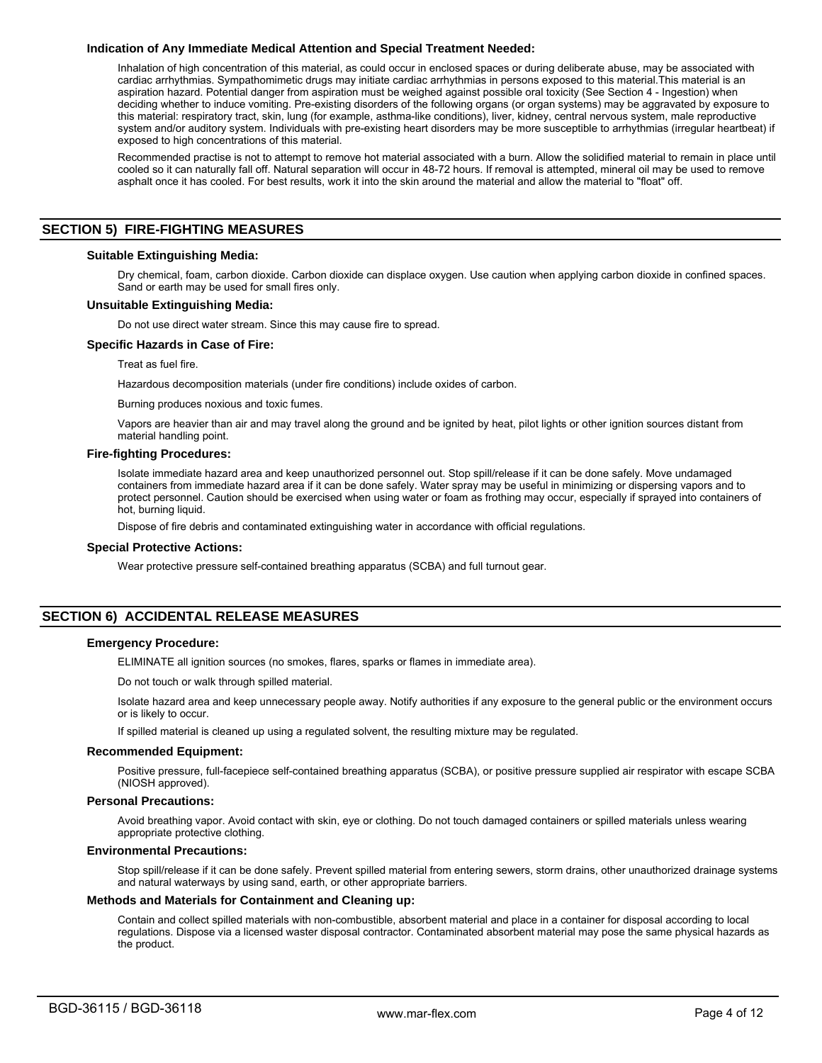# **Indication of Any Immediate Medical Attention and Special Treatment Needed:**

Inhalation of high concentration of this material, as could occur in enclosed spaces or during deliberate abuse, may be associated with cardiac arrhythmias. Sympathomimetic drugs may initiate cardiac arrhythmias in persons exposed to this material.This material is an aspiration hazard. Potential danger from aspiration must be weighed against possible oral toxicity (See Section 4 - Ingestion) when deciding whether to induce vomiting. Pre-existing disorders of the following organs (or organ systems) may be aggravated by exposure to this material: respiratory tract, skin, lung (for example, asthma-like conditions), liver, kidney, central nervous system, male reproductive system and/or auditory system. Individuals with pre-existing heart disorders may be more susceptible to arrhythmias (irregular heartbeat) if exposed to high concentrations of this material.

Recommended practise is not to attempt to remove hot material associated with a burn. Allow the solidified material to remain in place until cooled so it can naturally fall off. Natural separation will occur in 48-72 hours. If removal is attempted, mineral oil may be used to remove asphalt once it has cooled. For best results, work it into the skin around the material and allow the material to "float" off.

# **SECTION 5) FIRE-FIGHTING MEASURES**

# **Suitable Extinguishing Media:**

Dry chemical, foam, carbon dioxide. Carbon dioxide can displace oxygen. Use caution when applying carbon dioxide in confined spaces. Sand or earth may be used for small fires only.

# **Unsuitable Extinguishing Media:**

Do not use direct water stream. Since this may cause fire to spread.

## **Specific Hazards in Case of Fire:**

Treat as fuel fire.

Hazardous decomposition materials (under fire conditions) include oxides of carbon.

Burning produces noxious and toxic fumes.

Vapors are heavier than air and may travel along the ground and be ignited by heat, pilot lights or other ignition sources distant from material handling point.

#### **Fire-fighting Procedures:**

Isolate immediate hazard area and keep unauthorized personnel out. Stop spill/release if it can be done safely. Move undamaged containers from immediate hazard area if it can be done safely. Water spray may be useful in minimizing or dispersing vapors and to protect personnel. Caution should be exercised when using water or foam as frothing may occur, especially if sprayed into containers of hot, burning liquid.

Dispose of fire debris and contaminated extinguishing water in accordance with official regulations.

# **Special Protective Actions:**

Wear protective pressure self-contained breathing apparatus (SCBA) and full turnout gear.

# **SECTION 6) ACCIDENTAL RELEASE MEASURES**

# **Emergency Procedure:**

ELIMINATE all ignition sources (no smokes, flares, sparks or flames in immediate area).

Do not touch or walk through spilled material.

Isolate hazard area and keep unnecessary people away. Notify authorities if any exposure to the general public or the environment occurs or is likely to occur.

If spilled material is cleaned up using a regulated solvent, the resulting mixture may be regulated.

#### **Recommended Equipment:**

Positive pressure, full-facepiece self-contained breathing apparatus (SCBA), or positive pressure supplied air respirator with escape SCBA (NIOSH approved).

#### **Personal Precautions:**

Avoid breathing vapor. Avoid contact with skin, eye or clothing. Do not touch damaged containers or spilled materials unless wearing appropriate protective clothing.

#### **Environmental Precautions:**

Stop spill/release if it can be done safely. Prevent spilled material from entering sewers, storm drains, other unauthorized drainage systems and natural waterways by using sand, earth, or other appropriate barriers.

## **Methods and Materials for Containment and Cleaning up:**

Contain and collect spilled materials with non-combustible, absorbent material and place in a container for disposal according to local regulations. Dispose via a licensed waster disposal contractor. Contaminated absorbent material may pose the same physical hazards as the product.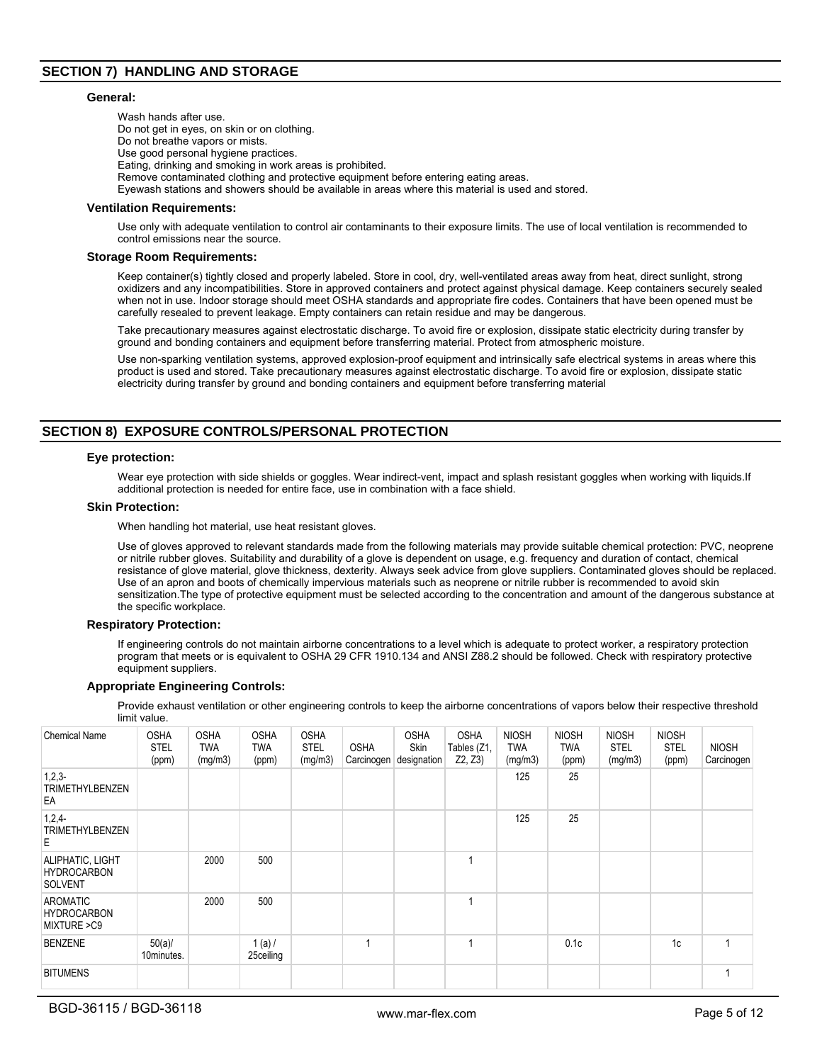# **SECTION 7) HANDLING AND STORAGE**

## **General:**

Wash hands after use. Do not get in eyes, on skin or on clothing. Do not breathe vapors or mists. Use good personal hygiene practices. Eating, drinking and smoking in work areas is prohibited. Remove contaminated clothing and protective equipment before entering eating areas. Eyewash stations and showers should be available in areas where this material is used and stored.

## **Ventilation Requirements:**

Use only with adequate ventilation to control air contaminants to their exposure limits. The use of local ventilation is recommended to control emissions near the source.

#### **Storage Room Requirements:**

Keep container(s) tightly closed and properly labeled. Store in cool, dry, well-ventilated areas away from heat, direct sunlight, strong oxidizers and any incompatibilities. Store in approved containers and protect against physical damage. Keep containers securely sealed when not in use. Indoor storage should meet OSHA standards and appropriate fire codes. Containers that have been opened must be carefully resealed to prevent leakage. Empty containers can retain residue and may be dangerous.

Take precautionary measures against electrostatic discharge. To avoid fire or explosion, dissipate static electricity during transfer by ground and bonding containers and equipment before transferring material. Protect from atmospheric moisture.

Use non-sparking ventilation systems, approved explosion-proof equipment and intrinsically safe electrical systems in areas where this product is used and stored. Take precautionary measures against electrostatic discharge. To avoid fire or explosion, dissipate static electricity during transfer by ground and bonding containers and equipment before transferring material

# **SECTION 8) EXPOSURE CONTROLS/PERSONAL PROTECTION**

## **Eye protection:**

Wear eye protection with side shields or goggles. Wear indirect-vent, impact and splash resistant goggles when working with liquids.If additional protection is needed for entire face, use in combination with a face shield.

# **Skin Protection:**

When handling hot material, use heat resistant gloves.

Use of gloves approved to relevant standards made from the following materials may provide suitable chemical protection: PVC, neoprene or nitrile rubber gloves. Suitability and durability of a glove is dependent on usage, e.g. frequency and duration of contact, chemical resistance of glove material, glove thickness, dexterity. Always seek advice from glove suppliers. Contaminated gloves should be replaced. Use of an apron and boots of chemically impervious materials such as neoprene or nitrile rubber is recommended to avoid skin sensitization.The type of protective equipment must be selected according to the concentration and amount of the dangerous substance at the specific workplace.

#### **Respiratory Protection:**

If engineering controls do not maintain airborne concentrations to a level which is adequate to protect worker, a respiratory protection program that meets or is equivalent to OSHA 29 CFR 1910.134 and ANSI Z88.2 should be followed. Check with respiratory protective equipment suppliers.

#### **Appropriate Engineering Controls:**

Provide exhaust ventilation or other engineering controls to keep the airborne concentrations of vapors below their respective threshold limit value.

| <b>Chemical Name</b>                                     | <b>OSHA</b><br><b>STEL</b><br>(ppm) | <b>OSHA</b><br><b>TWA</b><br>(mg/m3) | <b>OSHA</b><br><b>TWA</b><br>(ppm) | <b>OSHA</b><br><b>STEL</b><br>(mg/m3) | <b>OSHA</b><br>Carcinogen | <b>OSHA</b><br>Skin<br>designation | <b>OSHA</b><br>Tables (Z1,<br>Z2, Z3 | <b>NIOSH</b><br><b>TWA</b><br>(mg/m3) | <b>NIOSH</b><br><b>TWA</b><br>(ppm) | <b>NIOSH</b><br><b>STEL</b><br>(mg/m3) | <b>NIOSH</b><br><b>STEL</b><br>(ppm) | <b>NIOSH</b><br>Carcinogen |
|----------------------------------------------------------|-------------------------------------|--------------------------------------|------------------------------------|---------------------------------------|---------------------------|------------------------------------|--------------------------------------|---------------------------------------|-------------------------------------|----------------------------------------|--------------------------------------|----------------------------|
| $1,2,3-$<br><b>TRIMETHYLBENZEN</b><br>EA                 |                                     |                                      |                                    |                                       |                           |                                    |                                      | 125                                   | 25                                  |                                        |                                      |                            |
| $1,2,4-$<br><b>TRIMETHYLBENZEN</b><br>E.                 |                                     |                                      |                                    |                                       |                           |                                    |                                      | 125                                   | 25                                  |                                        |                                      |                            |
| ALIPHATIC, LIGHT<br><b>HYDROCARBON</b><br><b>SOLVENT</b> |                                     | 2000                                 | 500                                |                                       |                           |                                    |                                      |                                       |                                     |                                        |                                      |                            |
| <b>AROMATIC</b><br><b>HYDROCARBON</b><br>MIXTURE > C9    |                                     | 2000                                 | 500                                |                                       |                           |                                    | $\overline{\mathbf{A}}$              |                                       |                                     |                                        |                                      |                            |
| <b>BENZENE</b>                                           | $50(a)$ /<br>10minutes.             |                                      | 1(a) /<br>25ceiling                |                                       |                           |                                    |                                      |                                       | 0.1c                                |                                        | 1c                                   |                            |
| <b>BITUMENS</b>                                          |                                     |                                      |                                    |                                       |                           |                                    |                                      |                                       |                                     |                                        |                                      |                            |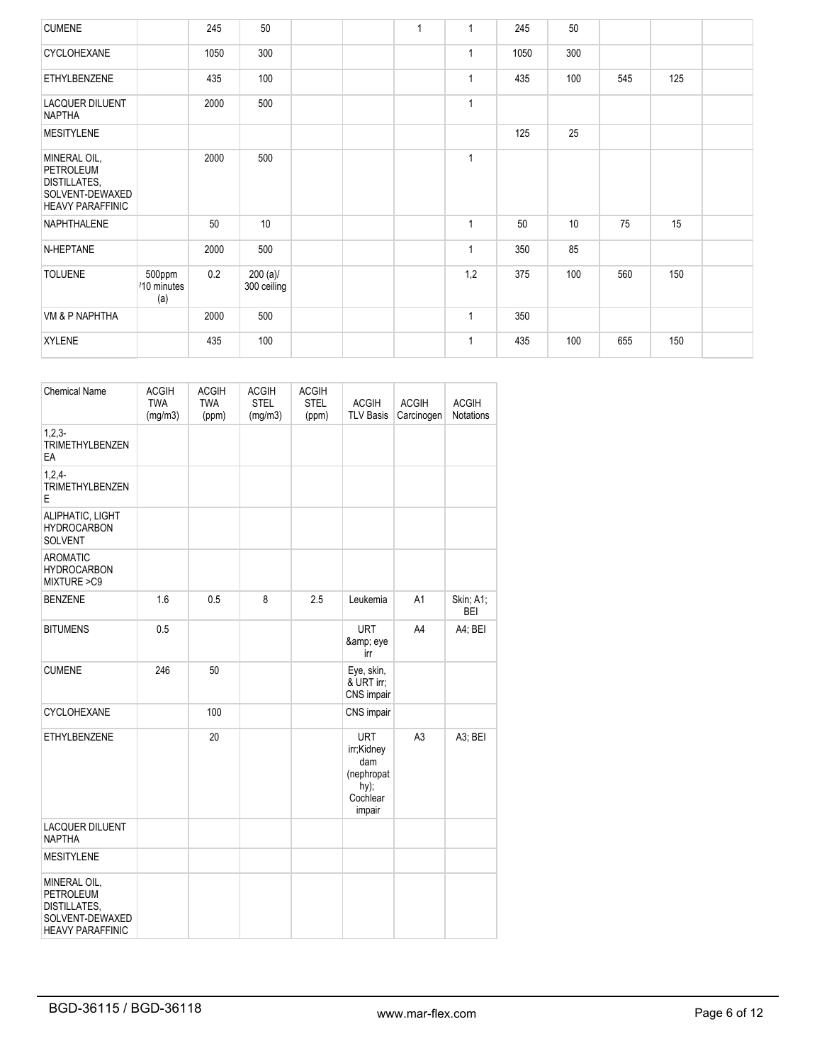| <b>CUMENE</b>                                                                                  |                              | 245  | 50                         |  | $\overline{1}$ |              | 245  | 50  |     |     |  |
|------------------------------------------------------------------------------------------------|------------------------------|------|----------------------------|--|----------------|--------------|------|-----|-----|-----|--|
| <b>CYCLOHEXANE</b>                                                                             |                              | 1050 | 300                        |  |                | $\mathbf{1}$ | 1050 | 300 |     |     |  |
| <b>ETHYLBENZENE</b>                                                                            |                              | 435  | 100                        |  |                | $\mathbf{1}$ | 435  | 100 | 545 | 125 |  |
| <b>LACQUER DILUENT</b><br><b>NAPTHA</b>                                                        |                              | 2000 | 500                        |  |                | $\mathbf{1}$ |      |     |     |     |  |
| <b>MESITYLENE</b>                                                                              |                              |      |                            |  |                |              | 125  | 25  |     |     |  |
| MINERAL OIL,<br>PETROLEUM<br><b>DISTILLATES,</b><br>SOLVENT-DEWAXED<br><b>HEAVY PARAFFINIC</b> |                              | 2000 | 500                        |  |                | $\mathbf{1}$ |      |     |     |     |  |
| NAPHTHALENE                                                                                    |                              | 50   | 10 <sup>°</sup>            |  |                | $\mathbf{1}$ | 50   | 10  | 75  | 15  |  |
| N-HEPTANE                                                                                      |                              | 2000 | 500                        |  |                | $\mathbf{1}$ | 350  | 85  |     |     |  |
| <b>TOLUENE</b>                                                                                 | 500ppm<br>/10 minutes<br>(a) | 0.2  | $200 (a)$ /<br>300 ceiling |  |                | 1,2          | 375  | 100 | 560 | 150 |  |
| VM & P NAPHTHA                                                                                 |                              | 2000 | 500                        |  |                | $\mathbf{1}$ | 350  |     |     |     |  |
| <b>XYLENE</b>                                                                                  |                              | 435  | 100                        |  |                | 1            | 435  | 100 | 655 | 150 |  |

| <b>Chemical Name</b>                                                                           | <b>ACGIH</b><br><b>TWA</b><br>(mg/m3) | <b>ACGIH</b><br><b>TWA</b><br>(ppm) | <b>ACGIH</b><br><b>STEL</b><br>(mg/m3) | <b>ACGIH</b><br><b>STEL</b><br>(ppm) | <b>ACGIH</b><br><b>TLV Basis</b>                                               | <b>ACGIH</b><br>Carcinogen | <b>ACGIH</b><br>Notations |
|------------------------------------------------------------------------------------------------|---------------------------------------|-------------------------------------|----------------------------------------|--------------------------------------|--------------------------------------------------------------------------------|----------------------------|---------------------------|
| $1,2,3-$<br><b>TRIMETHYLBENZEN</b><br>EA                                                       |                                       |                                     |                                        |                                      |                                                                                |                            |                           |
| $1.2.4 -$<br><b>TRIMETHYLBENZEN</b><br>Е                                                       |                                       |                                     |                                        |                                      |                                                                                |                            |                           |
| ALIPHATIC, LIGHT<br><b>HYDROCARBON</b><br><b>SOLVENT</b>                                       |                                       |                                     |                                        |                                      |                                                                                |                            |                           |
| <b>AROMATIC</b><br><b>HYDROCARBON</b><br>MIXTURE >C9                                           |                                       |                                     |                                        |                                      |                                                                                |                            |                           |
| <b>BENZENE</b>                                                                                 | 1.6                                   | 0.5                                 | 8                                      | 2.5                                  | Leukemia                                                                       | A1                         | Skin, A1;<br>BEI          |
| <b>BITUMENS</b>                                                                                | 0.5                                   |                                     |                                        |                                      | <b>URT</b><br>& eye<br>irr                                                     | A4                         | A4; BEI                   |
| <b>CUMENE</b>                                                                                  | 246                                   | 50                                  |                                        |                                      | Eye, skin,<br>& URT irr:<br>CNS impair                                         |                            |                           |
| CYCLOHEXANE                                                                                    |                                       | 100                                 |                                        |                                      | CNS impair                                                                     |                            |                           |
| ETHYLBENZENE                                                                                   |                                       | 20                                  |                                        |                                      | <b>URT</b><br>irr;Kidney<br>dam<br>(nephropat<br>$hy)$ ;<br>Cochlear<br>impair | A <sub>3</sub>             | A3; BEI                   |
| LACQUER DILUENT<br><b>NAPTHA</b>                                                               |                                       |                                     |                                        |                                      |                                                                                |                            |                           |
| <b>MESITYLENE</b>                                                                              |                                       |                                     |                                        |                                      |                                                                                |                            |                           |
| MINERAL OIL,<br><b>PETROLEUM</b><br>DISTILLATES,<br>SOLVENT-DEWAXED<br><b>HEAVY PARAFFINIC</b> |                                       |                                     |                                        |                                      |                                                                                |                            |                           |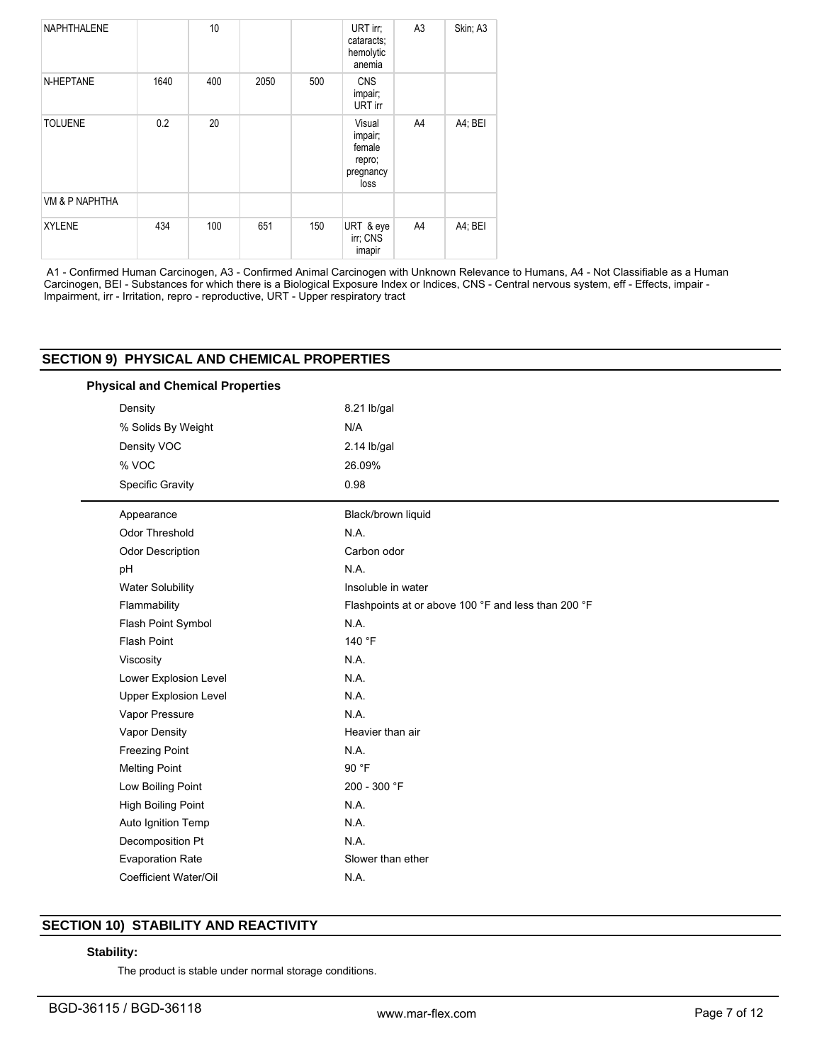| NAPHTHALENE    |      | 10 <sup>10</sup> |      |     | URT irr;<br>cataracts:<br>hemolytic<br>anemia              | A <sub>3</sub> | Skin; A3 |
|----------------|------|------------------|------|-----|------------------------------------------------------------|----------------|----------|
| N-HEPTANE      | 1640 | 400              | 2050 | 500 | <b>CNS</b><br>impair;<br>URT irr                           |                |          |
| <b>TOLUENE</b> | 0.2  | 20               |      |     | Visual<br>impair;<br>female<br>repro;<br>pregnancy<br>loss | A4             | A4; BEI  |
| VM & P NAPHTHA |      |                  |      |     |                                                            |                |          |
| <b>XYLENE</b>  | 434  | 100              | 651  | 150 | URT & eye<br>irr; CNS<br>imapir                            | A4             | A4; BEI  |

 A1 - Confirmed Human Carcinogen, A3 - Confirmed Animal Carcinogen with Unknown Relevance to Humans, A4 - Not Classifiable as a Human Carcinogen, BEI - Substances for which there is a Biological Exposure Index or Indices, CNS - Central nervous system, eff - Effects, impair - Impairment, irr - Irritation, repro - reproductive, URT - Upper respiratory tract

|                    | <b>Physical and Chemical Properties</b> |                                                     |  |  |  |  |  |
|--------------------|-----------------------------------------|-----------------------------------------------------|--|--|--|--|--|
|                    | Density                                 | 8.21 lb/gal                                         |  |  |  |  |  |
| % Solids By Weight |                                         | N/A                                                 |  |  |  |  |  |
|                    | Density VOC                             | $2.14$ lb/gal                                       |  |  |  |  |  |
|                    | % VOC                                   | 26.09%                                              |  |  |  |  |  |
|                    | <b>Specific Gravity</b>                 | 0.98                                                |  |  |  |  |  |
|                    | Appearance                              | Black/brown liquid                                  |  |  |  |  |  |
|                    | Odor Threshold                          | N.A.                                                |  |  |  |  |  |
|                    | Odor Description                        | Carbon odor                                         |  |  |  |  |  |
|                    | pH                                      | N.A.                                                |  |  |  |  |  |
|                    | Water Solubility                        | Insoluble in water                                  |  |  |  |  |  |
|                    | Flammability                            | Flashpoints at or above 100 °F and less than 200 °F |  |  |  |  |  |
|                    | Flash Point Symbol                      | N.A.                                                |  |  |  |  |  |
|                    | Flash Point                             | 140 °F                                              |  |  |  |  |  |
|                    | Viscosity                               | N.A.                                                |  |  |  |  |  |
|                    | Lower Explosion Level                   | N.A.                                                |  |  |  |  |  |
|                    | <b>Upper Explosion Level</b>            | N.A.                                                |  |  |  |  |  |
|                    | Vapor Pressure                          | N.A.                                                |  |  |  |  |  |
|                    | Vapor Density                           | Heavier than air                                    |  |  |  |  |  |
|                    | <b>Freezing Point</b>                   | N.A.                                                |  |  |  |  |  |
|                    | <b>Melting Point</b>                    | 90 °F                                               |  |  |  |  |  |
|                    | Low Boiling Point                       | 200 - 300 °F                                        |  |  |  |  |  |
|                    | <b>High Boiling Point</b>               | N.A.                                                |  |  |  |  |  |
|                    | Auto Ignition Temp                      | N.A.                                                |  |  |  |  |  |
|                    | Decomposition Pt                        | N.A.                                                |  |  |  |  |  |
|                    | <b>Evaporation Rate</b>                 | Slower than ether                                   |  |  |  |  |  |
|                    | Coefficient Water/Oil                   | N.A.                                                |  |  |  |  |  |

# **SECTION 10) STABILITY AND REACTIVITY**

# **Stability:**

The product is stable under normal storage conditions.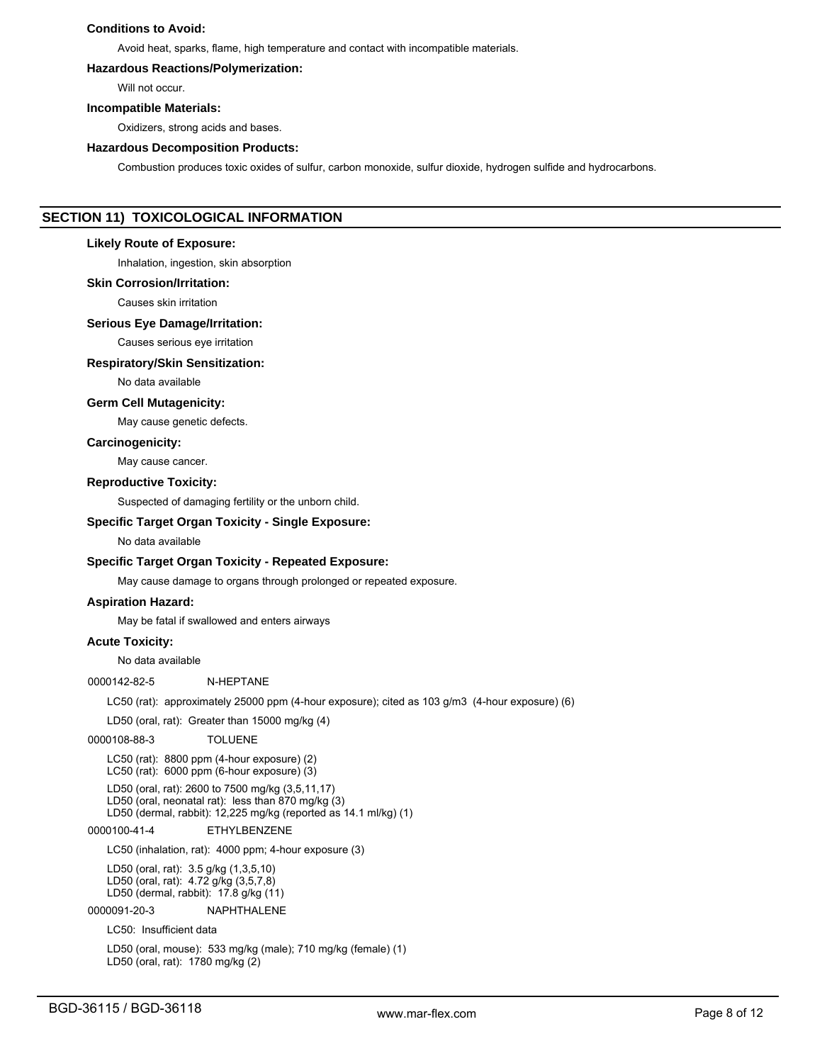# **Conditions to Avoid:**

Avoid heat, sparks, flame, high temperature and contact with incompatible materials.

# **Hazardous Reactions/Polymerization:**

Will not occur.

#### **Incompatible Materials:**

Oxidizers, strong acids and bases.

#### **Hazardous Decomposition Products:**

Combustion produces toxic oxides of sulfur, carbon monoxide, sulfur dioxide, hydrogen sulfide and hydrocarbons.

# **SECTION 11) TOXICOLOGICAL INFORMATION**

#### **Likely Route of Exposure:**

Inhalation, ingestion, skin absorption

**Skin Corrosion/Irritation:**

Causes skin irritation

## **Serious Eye Damage/Irritation:**

Causes serious eye irritation

#### **Respiratory/Skin Sensitization:**

No data available

#### **Germ Cell Mutagenicity:**

May cause genetic defects.

## **Carcinogenicity:**

May cause cancer.

#### **Reproductive Toxicity:**

Suspected of damaging fertility or the unborn child.

# **Specific Target Organ Toxicity - Single Exposure:**

No data available

#### **Specific Target Organ Toxicity - Repeated Exposure:**

May cause damage to organs through prolonged or repeated exposure.

## **Aspiration Hazard:**

May be fatal if swallowed and enters airways

# **Acute Toxicity:**

No data available

0000142-82-5 N-HEPTANE

LC50 (rat): approximately 25000 ppm (4-hour exposure); cited as 103 g/m3 (4-hour exposure) (6)

LD50 (oral, rat): Greater than 15000 mg/kg (4)

#### 0000108-88-3 TOLUENE

LC50 (rat): 8800 ppm (4-hour exposure) (2) LC50 (rat): 6000 ppm (6-hour exposure) (3)

LD50 (oral, rat): 2600 to 7500 mg/kg (3,5,11,17) LD50 (oral, neonatal rat): less than 870 mg/kg (3) LD50 (dermal, rabbit): 12,225 mg/kg (reported as 14.1 ml/kg) (1)

# 0000100-41-4 ETHYLBENZENE

LC50 (inhalation, rat): 4000 ppm; 4-hour exposure (3)

LD50 (oral, rat): 3.5 g/kg (1,3,5,10) LD50 (oral, rat): 4.72 g/kg (3,5,7,8) LD50 (dermal, rabbit): 17.8 g/kg (11)

#### 0000091-20-3 NAPHTHALENE

LC50: Insufficient data

LD50 (oral, mouse): 533 mg/kg (male); 710 mg/kg (female) (1) LD50 (oral, rat): 1780 mg/kg (2)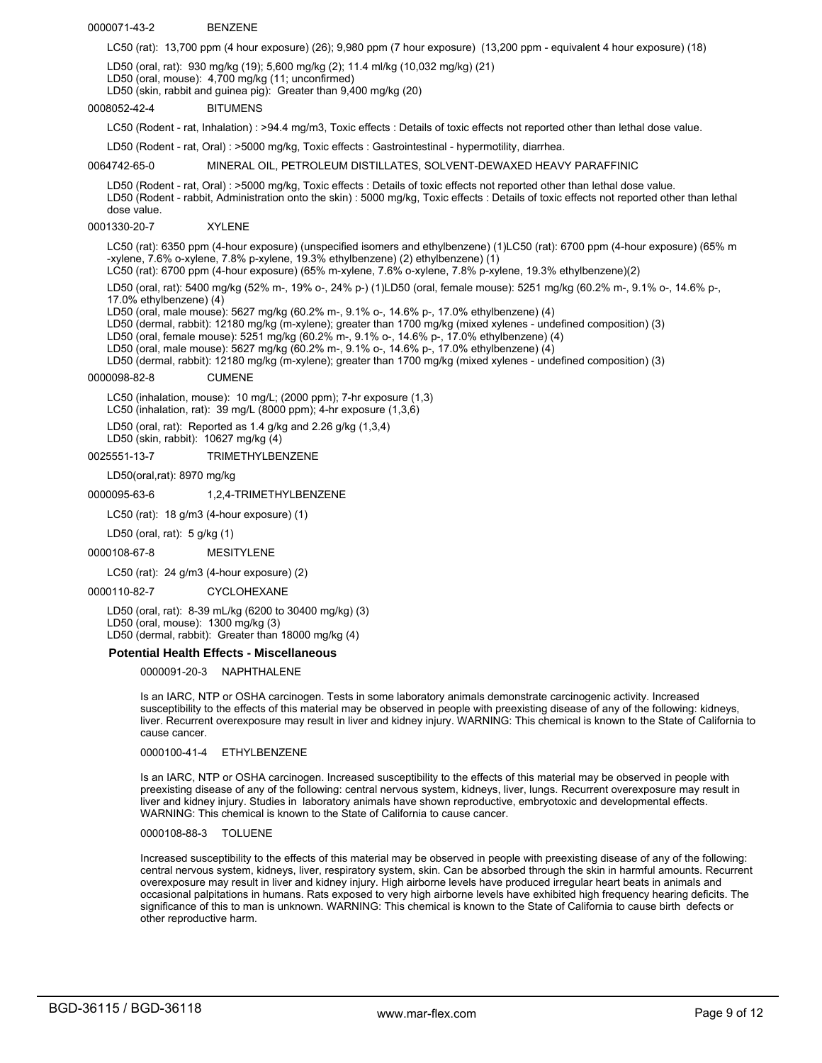#### 0000071-43-2 BENZENE

LC50 (rat): 13,700 ppm (4 hour exposure) (26); 9,980 ppm (7 hour exposure) (13,200 ppm - equivalent 4 hour exposure) (18)

LD50 (oral, rat): 930 mg/kg (19); 5,600 mg/kg (2); 11.4 ml/kg (10,032 mg/kg) (21)

LD50 (oral, mouse): 4,700 mg/kg (11; unconfirmed)

LD50 (skin, rabbit and guinea pig): Greater than 9,400 mg/kg (20)

#### 0008052-42-4 BITUMENS

LC50 (Rodent - rat, Inhalation) : >94.4 mg/m3, Toxic effects : Details of toxic effects not reported other than lethal dose value.

LD50 (Rodent - rat, Oral) : >5000 mg/kg, Toxic effects : Gastrointestinal - hypermotility, diarrhea.

#### 0064742-65-0 MINERAL OIL, PETROLEUM DISTILLATES, SOLVENT-DEWAXED HEAVY PARAFFINIC

LD50 (Rodent - rat, Oral) : >5000 mg/kg, Toxic effects : Details of toxic effects not reported other than lethal dose value. LD50 (Rodent - rabbit, Administration onto the skin) : 5000 mg/kg, Toxic effects : Details of toxic effects not reported other than lethal dose value.

#### 0001330-20-7 XYLENE

LC50 (rat): 6350 ppm (4-hour exposure) (unspecified isomers and ethylbenzene) (1)LC50 (rat): 6700 ppm (4-hour exposure) (65% m -xylene, 7.6% o-xylene, 7.8% p-xylene, 19.3% ethylbenzene) (2) ethylbenzene) (1)

LC50 (rat): 6700 ppm (4-hour exposure) (65% m-xylene, 7.6% o-xylene, 7.8% p-xylene, 19.3% ethylbenzene)(2)

LD50 (oral, rat): 5400 mg/kg (52% m-, 19% o-, 24% p-) (1)LD50 (oral, female mouse): 5251 mg/kg (60.2% m-, 9.1% o-, 14.6% p-, 17.0% ethylbenzene) (4)

LD50 (oral, male mouse): 5627 mg/kg (60.2% m-, 9.1% o-, 14.6% p-, 17.0% ethylbenzene) (4)

LD50 (dermal, rabbit): 12180 mg/kg (m-xylene); greater than 1700 mg/kg (mixed xylenes - undefined composition) (3)

LD50 (oral, female mouse): 5251 mg/kg (60.2% m-, 9.1% o-, 14.6% p-, 17.0% ethylbenzene) (4)

LD50 (oral, male mouse): 5627 mg/kg (60.2% m-, 9.1% o-, 14.6% p-, 17.0% ethylbenzene) (4)

LD50 (dermal, rabbit): 12180 mg/kg (m-xylene); greater than 1700 mg/kg (mixed xylenes - undefined composition) (3)

0000098-82-8 CUMENE

LC50 (inhalation, mouse): 10 mg/L; (2000 ppm); 7-hr exposure (1,3)

LC50 (inhalation, rat): 39 mg/L (8000 ppm); 4-hr exposure (1,3,6)

LD50 (oral, rat): Reported as 1.4 g/kg and 2.26 g/kg (1,3,4) LD50 (skin, rabbit): 10627 mg/kg (4)

0025551-13-7 TRIMETHYLBENZENE

LD50(oral,rat): 8970 mg/kg

#### 0000095-63-6 1,2,4-TRIMETHYLBENZENE

LC50 (rat): 18 g/m3 (4-hour exposure) (1)

LD50 (oral, rat): 5 g/kg (1)

0000108-67-8 MESITYLENE

## LC50 (rat): 24 g/m3 (4-hour exposure) (2)

0000110-82-7 CYCLOHEXANE

LD50 (oral, rat): 8-39 mL/kg (6200 to 30400 mg/kg) (3) LD50 (oral, mouse): 1300 mg/kg (3) LD50 (dermal, rabbit): Greater than 18000 mg/kg (4)

## **Potential Health Effects - Miscellaneous**

#### 0000091-20-3 NAPHTHALENE

Is an IARC, NTP or OSHA carcinogen. Tests in some laboratory animals demonstrate carcinogenic activity. Increased susceptibility to the effects of this material may be observed in people with preexisting disease of any of the following: kidneys, liver. Recurrent overexposure may result in liver and kidney injury. WARNING: This chemical is known to the State of California to cause cancer.

# 0000100-41-4 ETHYLBENZENE

Is an IARC, NTP or OSHA carcinogen. Increased susceptibility to the effects of this material may be observed in people with preexisting disease of any of the following: central nervous system, kidneys, liver, lungs. Recurrent overexposure may result in liver and kidney injury. Studies in laboratory animals have shown reproductive, embryotoxic and developmental effects. WARNING: This chemical is known to the State of California to cause cancer.

# 0000108-88-3 TOLUENE

Increased susceptibility to the effects of this material may be observed in people with preexisting disease of any of the following: central nervous system, kidneys, liver, respiratory system, skin. Can be absorbed through the skin in harmful amounts. Recurrent overexposure may result in liver and kidney injury. High airborne levels have produced irregular heart beats in animals and occasional palpitations in humans. Rats exposed to very high airborne levels have exhibited high frequency hearing deficits. The significance of this to man is unknown. WARNING: This chemical is known to the State of California to cause birth defects or other reproductive harm.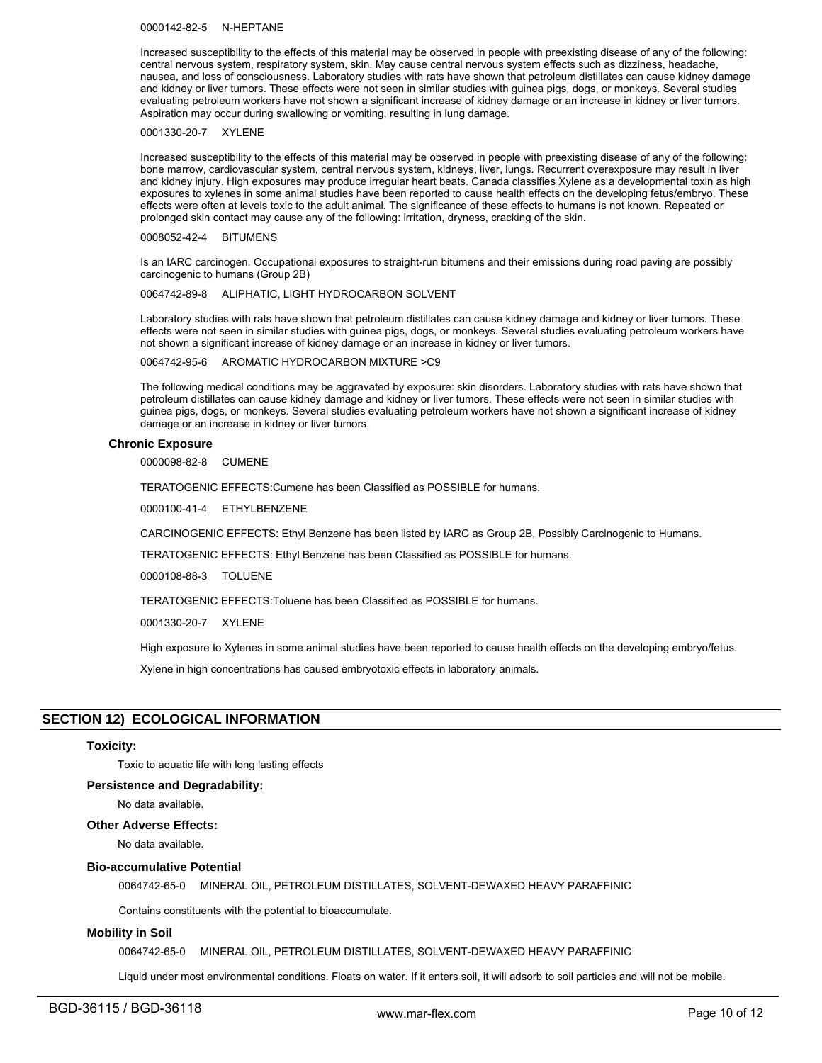0000142-82-5 N-HEPTANE

Increased susceptibility to the effects of this material may be observed in people with preexisting disease of any of the following: central nervous system, respiratory system, skin. May cause central nervous system effects such as dizziness, headache, nausea, and loss of consciousness. Laboratory studies with rats have shown that petroleum distillates can cause kidney damage and kidney or liver tumors. These effects were not seen in similar studies with guinea pigs, dogs, or monkeys. Several studies evaluating petroleum workers have not shown a significant increase of kidney damage or an increase in kidney or liver tumors. Aspiration may occur during swallowing or vomiting, resulting in lung damage.

#### 0001330-20-7 XYLENE

Increased susceptibility to the effects of this material may be observed in people with preexisting disease of any of the following: bone marrow, cardiovascular system, central nervous system, kidneys, liver, lungs. Recurrent overexposure may result in liver and kidney injury. High exposures may produce irregular heart beats. Canada classifies Xylene as a developmental toxin as high exposures to xylenes in some animal studies have been reported to cause health effects on the developing fetus/embryo. These effects were often at levels toxic to the adult animal. The significance of these effects to humans is not known. Repeated or prolonged skin contact may cause any of the following: irritation, dryness, cracking of the skin.

0008052-42-4 BITUMENS

Is an IARC carcinogen. Occupational exposures to straight-run bitumens and their emissions during road paving are possibly carcinogenic to humans (Group 2B)

## 0064742-89-8 ALIPHATIC, LIGHT HYDROCARBON SOLVENT

Laboratory studies with rats have shown that petroleum distillates can cause kidney damage and kidney or liver tumors. These effects were not seen in similar studies with guinea pigs, dogs, or monkeys. Several studies evaluating petroleum workers have not shown a significant increase of kidney damage or an increase in kidney or liver tumors.

0064742-95-6 AROMATIC HYDROCARBON MIXTURE >C9

The following medical conditions may be aggravated by exposure: skin disorders. Laboratory studies with rats have shown that petroleum distillates can cause kidney damage and kidney or liver tumors. These effects were not seen in similar studies with guinea pigs, dogs, or monkeys. Several studies evaluating petroleum workers have not shown a significant increase of kidney damage or an increase in kidney or liver tumors.

#### **Chronic Exposure**

0000098-82-8 CUMENE

TERATOGENIC EFFECTS:Cumene has been Classified as POSSIBLE for humans.

0000100-41-4 ETHYLBENZENE

CARCINOGENIC EFFECTS: Ethyl Benzene has been listed by IARC as Group 2B, Possibly Carcinogenic to Humans.

TERATOGENIC EFFECTS: Ethyl Benzene has been Classified as POSSIBLE for humans.

0000108-88-3 TOLUENE

TERATOGENIC EFFECTS:Toluene has been Classified as POSSIBLE for humans.

0001330-20-7 XYLENE

High exposure to Xylenes in some animal studies have been reported to cause health effects on the developing embryo/fetus.

Xylene in high concentrations has caused embryotoxic effects in laboratory animals.

# **SECTION 12) ECOLOGICAL INFORMATION**

#### **Toxicity:**

Toxic to aquatic life with long lasting effects

## **Persistence and Degradability:**

No data available.

## **Other Adverse Effects:**

No data available.

#### **Bio-accumulative Potential**

0064742-65-0 MINERAL OIL, PETROLEUM DISTILLATES, SOLVENT-DEWAXED HEAVY PARAFFINIC

Contains constituents with the potential to bioaccumulate.

#### **Mobility in Soil**

0064742-65-0 MINERAL OIL, PETROLEUM DISTILLATES, SOLVENT-DEWAXED HEAVY PARAFFINIC

Liquid under most environmental conditions. Floats on water. If it enters soil, it will adsorb to soil particles and will not be mobile.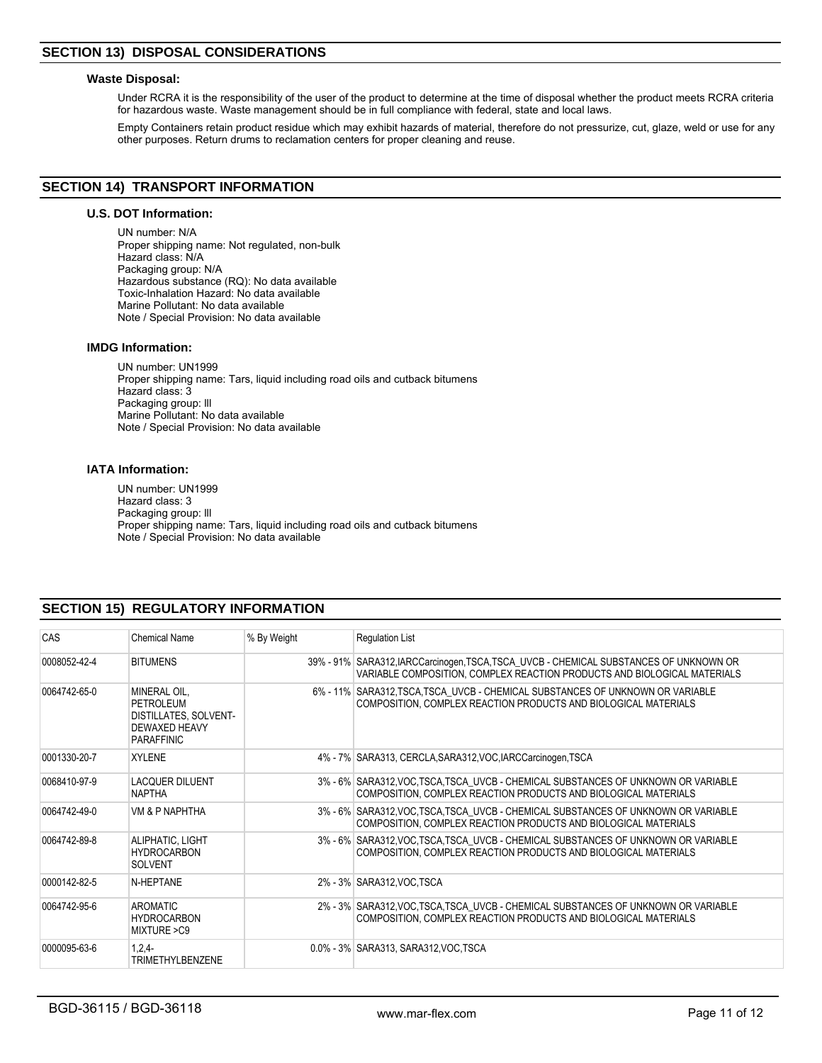# **Waste Disposal:**

Under RCRA it is the responsibility of the user of the product to determine at the time of disposal whether the product meets RCRA criteria for hazardous waste. Waste management should be in full compliance with federal, state and local laws.

Empty Containers retain product residue which may exhibit hazards of material, therefore do not pressurize, cut, glaze, weld or use for any other purposes. Return drums to reclamation centers for proper cleaning and reuse.

# **SECTION 14) TRANSPORT INFORMATION**

# **U.S. DOT Information:**

UN number: N/A Proper shipping name: Not regulated, non-bulk Hazard class: N/A Packaging group: N/A Hazardous substance (RQ): No data available Toxic-Inhalation Hazard: No data available Marine Pollutant: No data available Note / Special Provision: No data available

# **IMDG Information:**

UN number: UN1999 Proper shipping name: Tars, liquid including road oils and cutback bitumens Hazard class: 3 Packaging group: lll Marine Pollutant: No data available Note / Special Provision: No data available

## **IATA Information:**

UN number: UN1999 Hazard class: 3 Packaging group: lll Proper shipping name: Tars, liquid including road oils and cutback bitumens Note / Special Provision: No data available

# **SECTION 15) REGULATORY INFORMATION**

| CAS          | Chemical Name                                                                            | % By Weight | <b>Regulation List</b>                                                                                                                                             |
|--------------|------------------------------------------------------------------------------------------|-------------|--------------------------------------------------------------------------------------------------------------------------------------------------------------------|
| 0008052-42-4 | <b>BITUMENS</b>                                                                          |             | 39% - 91% SARA312, IARCCarcinogen, TSCA, TSCA_UVCB - CHEMICAL SUBSTANCES OF UNKNOWN OR<br>VARIABLE COMPOSITION, COMPLEX REACTION PRODUCTS AND BIOLOGICAL MATERIALS |
| 0064742-65-0 | MINERAL OIL,<br>PETROLEUM<br>DISTILLATES, SOLVENT-<br>DEWAXED HEAVY<br><b>PARAFFINIC</b> |             | 6% - 11% SARA312, TSCA, TSCA UVCB - CHEMICAL SUBSTANCES OF UNKNOWN OR VARIABLE<br>COMPOSITION, COMPLEX REACTION PRODUCTS AND BIOLOGICAL MATERIALS                  |
| 0001330-20-7 | <b>XYLENE</b>                                                                            |             | 4% - 7% SARA313, CERCLA, SARA312, VOC, IARCCarcinogen, TSCA                                                                                                        |
| 0068410-97-9 | <b>LACQUER DILUENT</b><br><b>NAPTHA</b>                                                  |             | 3% - 6% SARA312, VOC, TSCA, TSCA UVCB - CHEMICAL SUBSTANCES OF UNKNOWN OR VARIABLE<br>COMPOSITION, COMPLEX REACTION PRODUCTS AND BIOLOGICAL MATERIALS              |
| 0064742-49-0 | VM & P NAPHTHA                                                                           |             | 3% - 6% SARA312, VOC TSCA, TSCA UVCB - CHEMICAL SUBSTANCES OF UNKNOWN OR VARIABLE<br>COMPOSITION, COMPLEX REACTION PRODUCTS AND BIOLOGICAL MATERIALS               |
| 0064742-89-8 | ALIPHATIC, LIGHT<br><b>HYDROCARBON</b><br><b>SOLVENT</b>                                 |             | 3% - 6% SARA312, VOC TSCA, TSCA UVCB - CHEMICAL SUBSTANCES OF UNKNOWN OR VARIABLE<br>COMPOSITION, COMPLEX REACTION PRODUCTS AND BIOLOGICAL MATERIALS               |
| 0000142-82-5 | N-HFPTANF                                                                                |             | 2% - 3% SARA312, VOC TSCA                                                                                                                                          |
| 0064742-95-6 | AROMATIC<br><b>HYDROCARBON</b><br>MIXTURE > C9                                           |             | 2% - 3% SARA312, VOC TSCA, TSCA UVCB - CHEMICAL SUBSTANCES OF UNKNOWN OR VARIABLE<br>COMPOSITION, COMPLEX REACTION PRODUCTS AND BIOLOGICAL MATERIALS               |
| 0000095-63-6 | $1.2.4 -$<br>TRIMETHYLBENZENE                                                            |             | 0.0% - 3% SARA313, SARA312, VOC, TSCA                                                                                                                              |